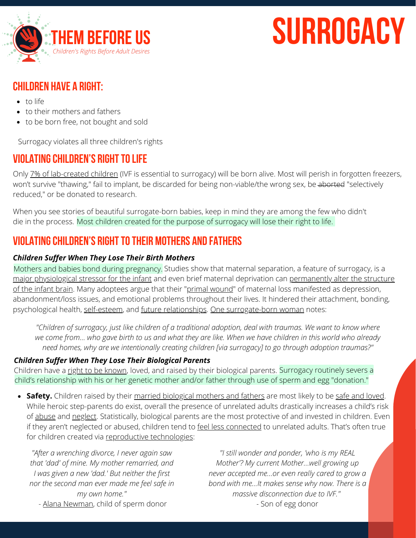

# **surrogacy**

# **[Children](https://www.dailymail.co.uk/news/article-2255107/1-7-million-embryos-created-IVF-thrown-away-just-7-cent-lead-pregnancy.html) have a right:**

- to [life](https://www.dailymail.co.uk/news/article-2255107/1-7-million-embryos-created-IVF-thrown-away-just-7-cent-lead-pregnancy.html)
- to their [mothers](https://www.dailymail.co.uk/news/article-2255107/1-7-million-embryos-created-IVF-thrown-away-just-7-cent-lead-pregnancy.html) and fathers
- to be born free, not [bought](https://www.dailymail.co.uk/news/article-2255107/1-7-million-embryos-created-IVF-thrown-away-just-7-cent-lead-pregnancy.html) and sold

Surrogacy violates all three children's rights

# **VIOI ATING CHILDREN'S RIGHT TO LIFE**

Only 7% of [lab-created](https://www.dailymail.co.uk/news/article-2255107/1-7-million-embryos-created-IVF-thrown-away-just-7-cent-lead-pregnancy.html) children (IVF is essential to surrogacy) will be born alive. Most will perish in forgotten freezers, won't survive "thawing," fail to implant, be discarded for being non-viable/the wrong sex, be aborted "selectively reduced," or be donated to research.

When you see stories of beautiful surrogate-born babies, keep in mind they are among the few who didn't die in the process. Most children created for the purpose of surrogacy will lose their right to life.

## **ViolatingChildren's Righttotheir Mothers and Fathers**

#### *Children Suffer When They Lose Their Birth Mothers*

Mothers and babies bond during pregnancy. Studies show that maternal separation, a feature of surrogacy, [is](https://www.sciencedaily.com/releases/2011/11/111102124955.htm) a major [physiological](https://www.sciencedaily.com/releases/2011/11/111102124955.htm) stressor for the infant and even brief maternal deprivation can permanently alter the structure of the infant brain[.](https://www.sciencedaily.com/releases/2018/05/180503142724.htm) Many adoptees argue that their "primal [wound](https://www.family-institute.org/sites/default/files/pdfs/csi_drustrup_hidden_impact_of_adoption.pdf)" of maternal loss manifested as depression, abandonment/loss issues, and emotional problems throughout their lives. It hindered their attachment, bonding, psychological health, [self-esteem,](https://pubmed.ncbi.nlm.nih.gov/14108429/) and future [relationships](https://mariedolfi.com/adoption-resource/relinquishment-trauma-the-forgotten-trauma/). One [surrogate-born](https://thembeforeus.com/jessica-kern/) woman notes:

"Children of surrogacy, just like children of a traditional adoption, deal with traumas. We want to know where we come from... who gave birth to us and what they are like. When we have children in this world who already *need homes, why are we intentionally creating children [via surrogacy] to go through adoption traumas?"*

#### *Children Suffer When They Lose Their [Biological](https://thembeforeus.com/jessica-kern/) Parents*

[Children](https://thembeforeus.com/jessica-kern/) have a right to be [known](https://thembeforeus.com/jessica-kern/), loved, and raised by their [biological](https://thembeforeus.com/jessica-kern/) parents. [Surrogacy](https://thembeforeus.com/jessica-kern/) routinely severs a child's [relationship](https://thembeforeus.com/jessica-kern/) with his or her genetic mother and/or father through use of sperm and egg "donation."

**Safety.** Children raised by their married [biological](https://eric.ed.gov/?id=EJ1079423) mothers and fathers are most likely to be safe and [loved.](https://thembeforeus.com/biology-matters/) While heroic step-parents do exist, overall the presence of unrelated adults drastically increases a child's risk of [abuse](https://www.thepublicdiscourse.com/2011/04/3181/) and [neglect](https://www.princeton.edu/~accase/downloads/Mothers_and_Others.pdf). Statistically, biological parents are the most protective of and invested in children. Even if they aren't neglected or abused, children tend to feel less [connected](https://www.pewresearch.org/social-trends/2011/01/13/a-portrait-of-stepfamilies/) to unrelated adults. That's often true for children created via reproductive [technologies:](https://fluxconsole.com/files/item/441/56197/My-Daddys-Name-is-Donor-Full-Study.pdf)

*"After a wrenching divorce, I never again saw that 'dad' of mine. My mother remarried, and I was given a new 'dad.' But neither the first nor the second man ever made me feel safe in my own home."*

*"I still wonder and ponder, 'who is my REAL Mother'? My current Mother…well growing up never accepted me…or even really cared to grow a bond with me…It makes sense why now. There is a massive disconnection due to IVF." -* Son of egg donor

- Alana [Newman](https://www.thepublicdiscourse.com/2014/11/13993/), child of sperm donor